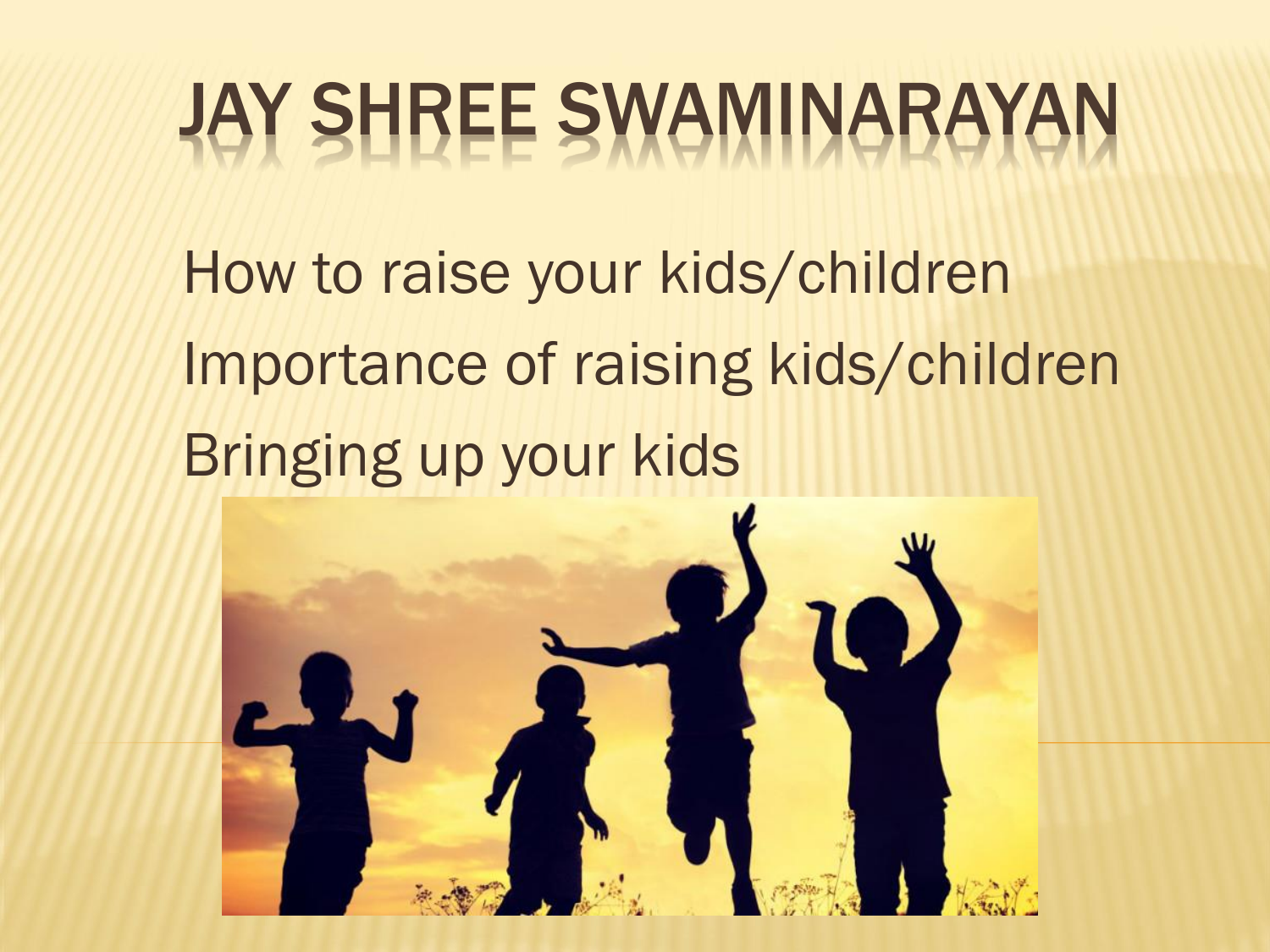## JAY SHREE SWAMINARAYAN

How to raise your kids/children Importance of raising kids/children Bringing up your kids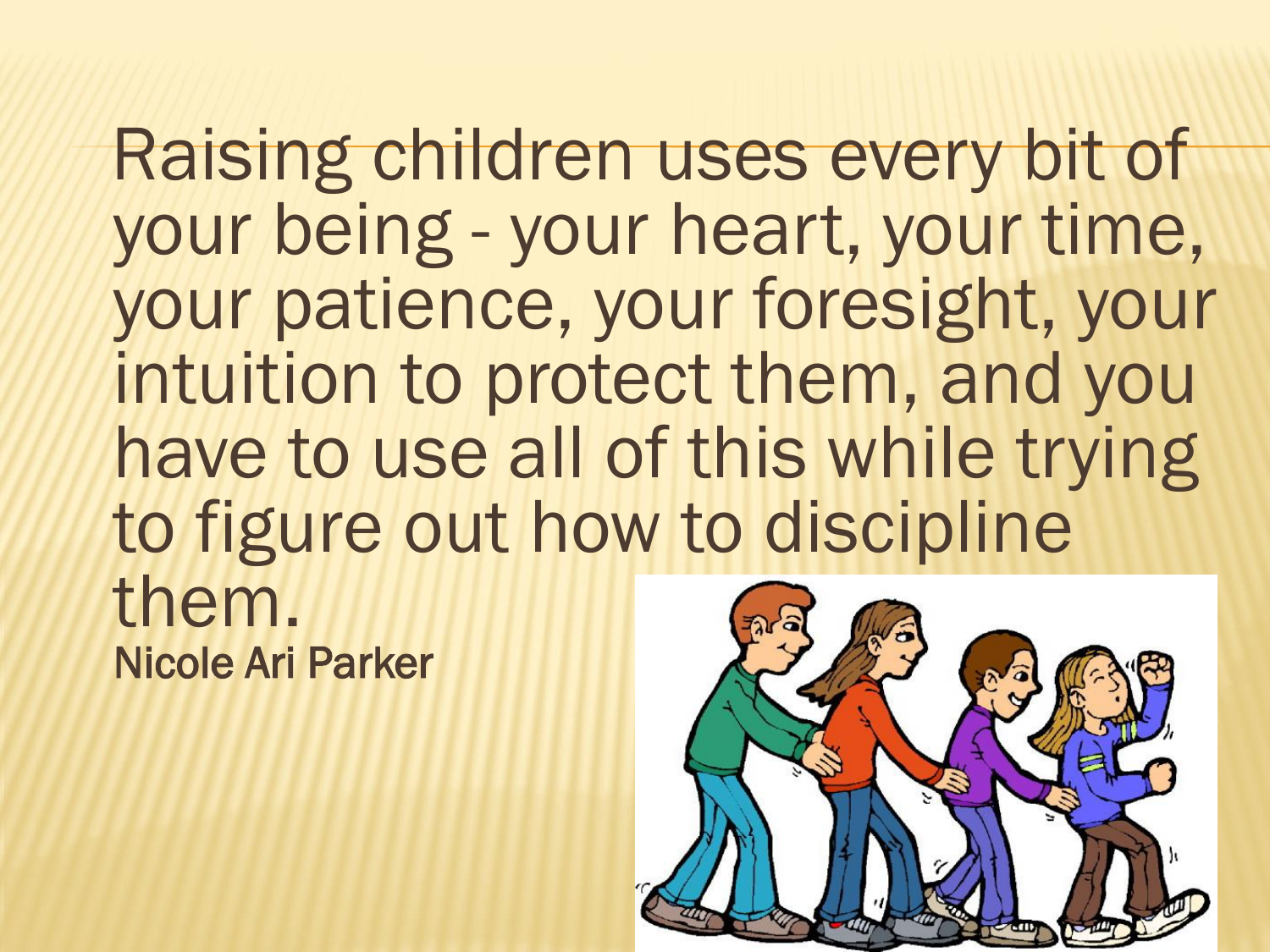Raising children uses every bit of your being - your heart, your time, your patience, your foresight, your intuition to protect them, and you have to use all of this while trying to figure out how to discipline them. Nicole Ari Parker

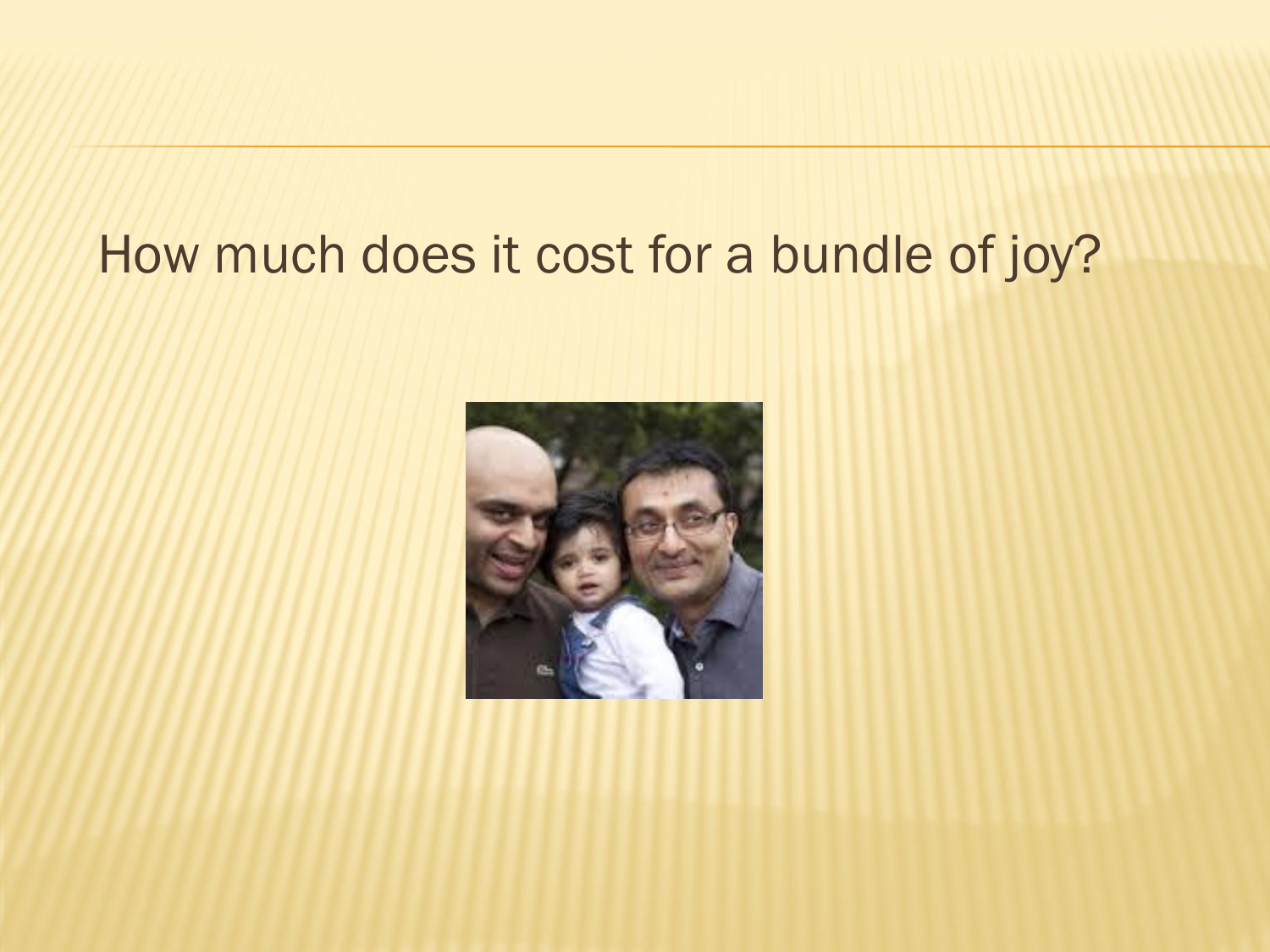#### How much does it cost for a bundle of joy?

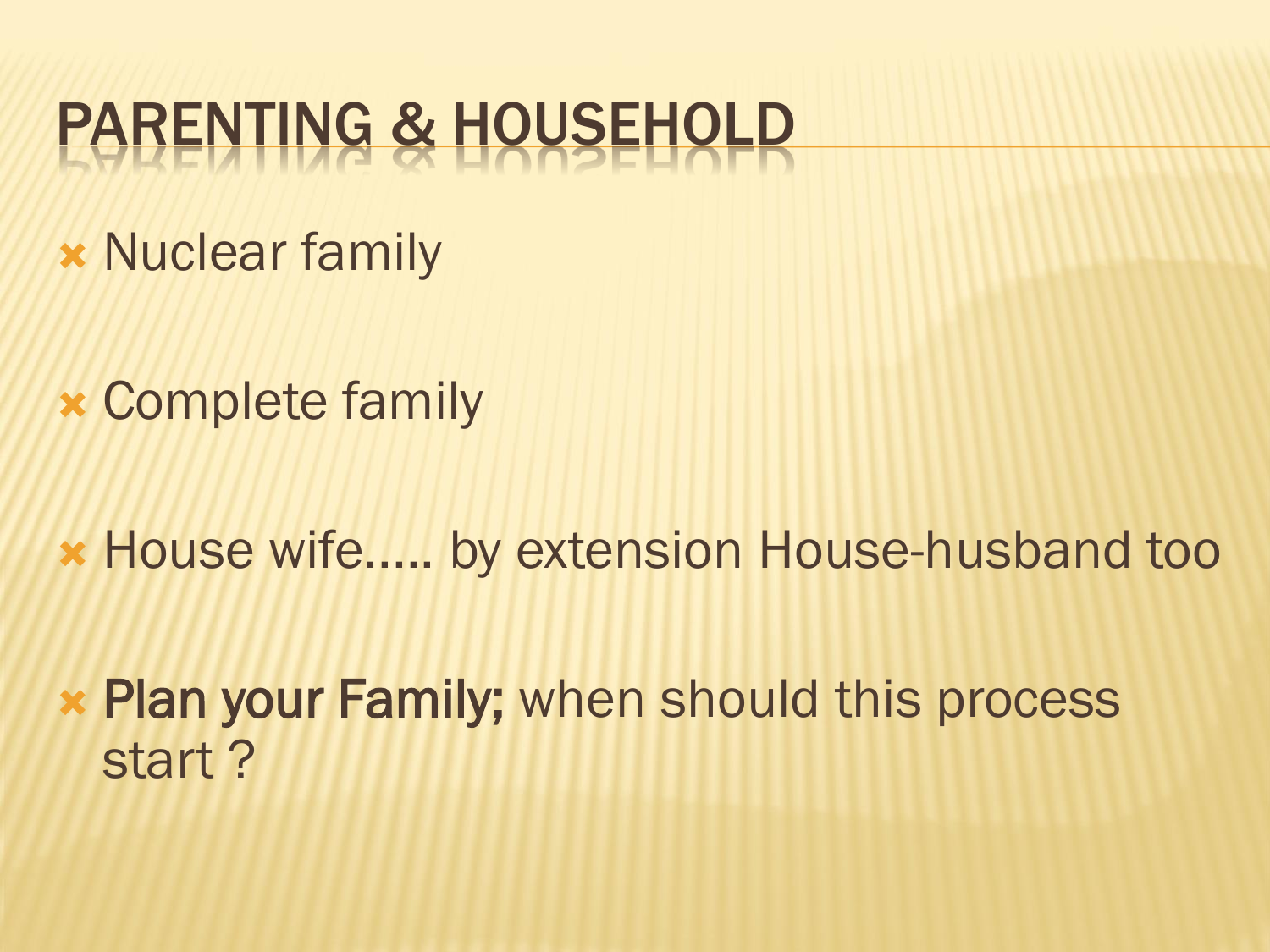#### PARENTING & HOUSEHOLD

- **\* Nuclear family**
- Complete family
- House wife..... by extension House-husband too
- Plan your Family; when should this process start ?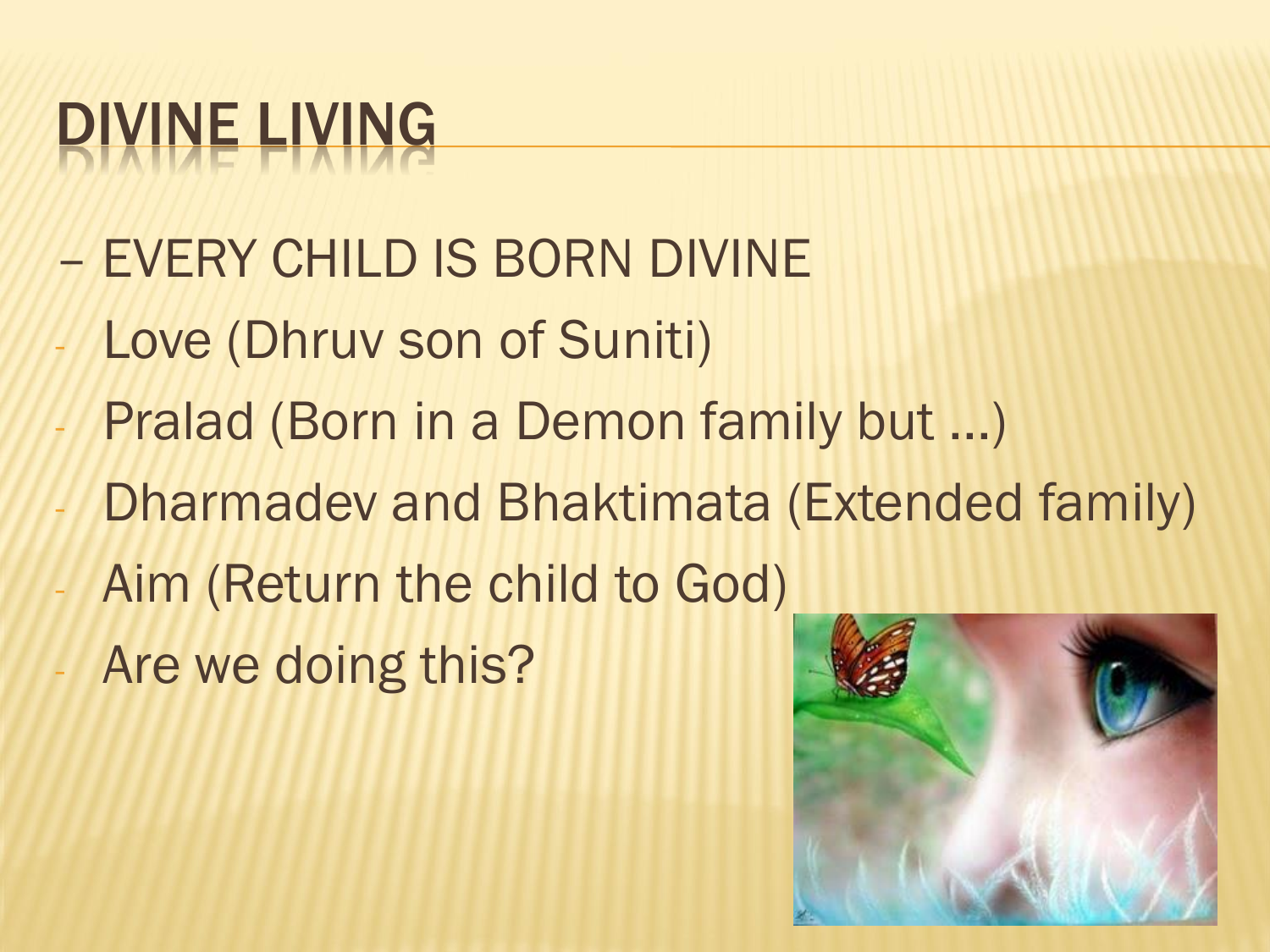#### DIVINE LIVING

- EVERY CHILD IS BORN DIVINE
- Love (Dhruv son of Suniti)
- Pralad (Born in a Demon family but ...)
- Dharmadev and Bhaktimata (Extended family)
- Aim (Return the child to God)
- Are we doing this?

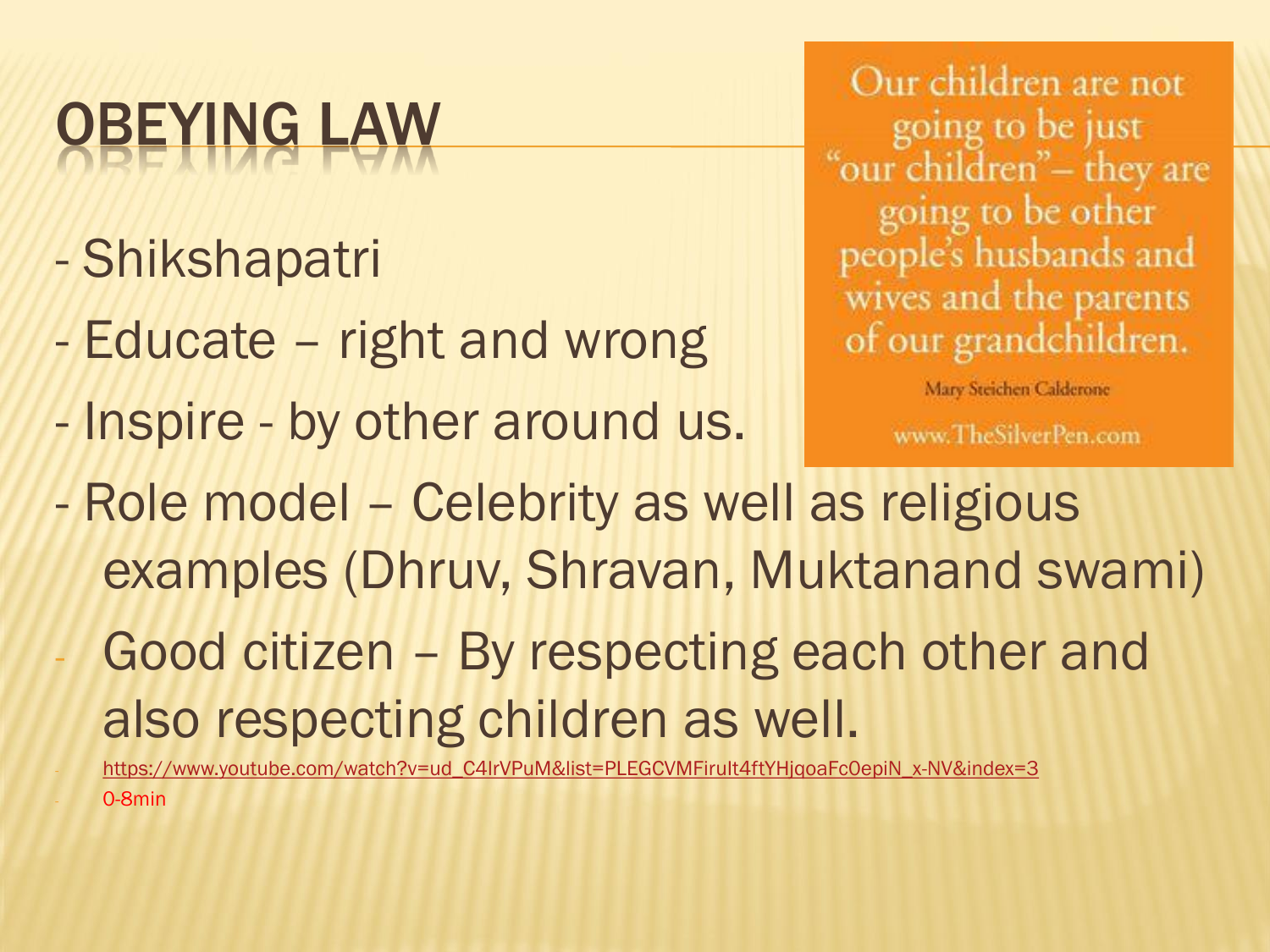## OBEYING LAW

- Shikshapatri
- Educate right and wrong
- Inspire by other around us.

Our children are not going to be just "our children"- they are going to be other people's husbands and wives and the parents of our grandchildren.

Mary Steichen Calderone

www.TheSilverPen.com

- Role model Celebrity as well as religious examples (Dhruv, Shravan, Muktanand swami)
- Good citizen By respecting each other and also respecting children as well.
- https://www.youtube.com/watch?v=ud\_C4IrVPuM&list=PLEGCVMFiruIt4ftYHjqoaFc0epiN\_x-NV&index=3 0-8min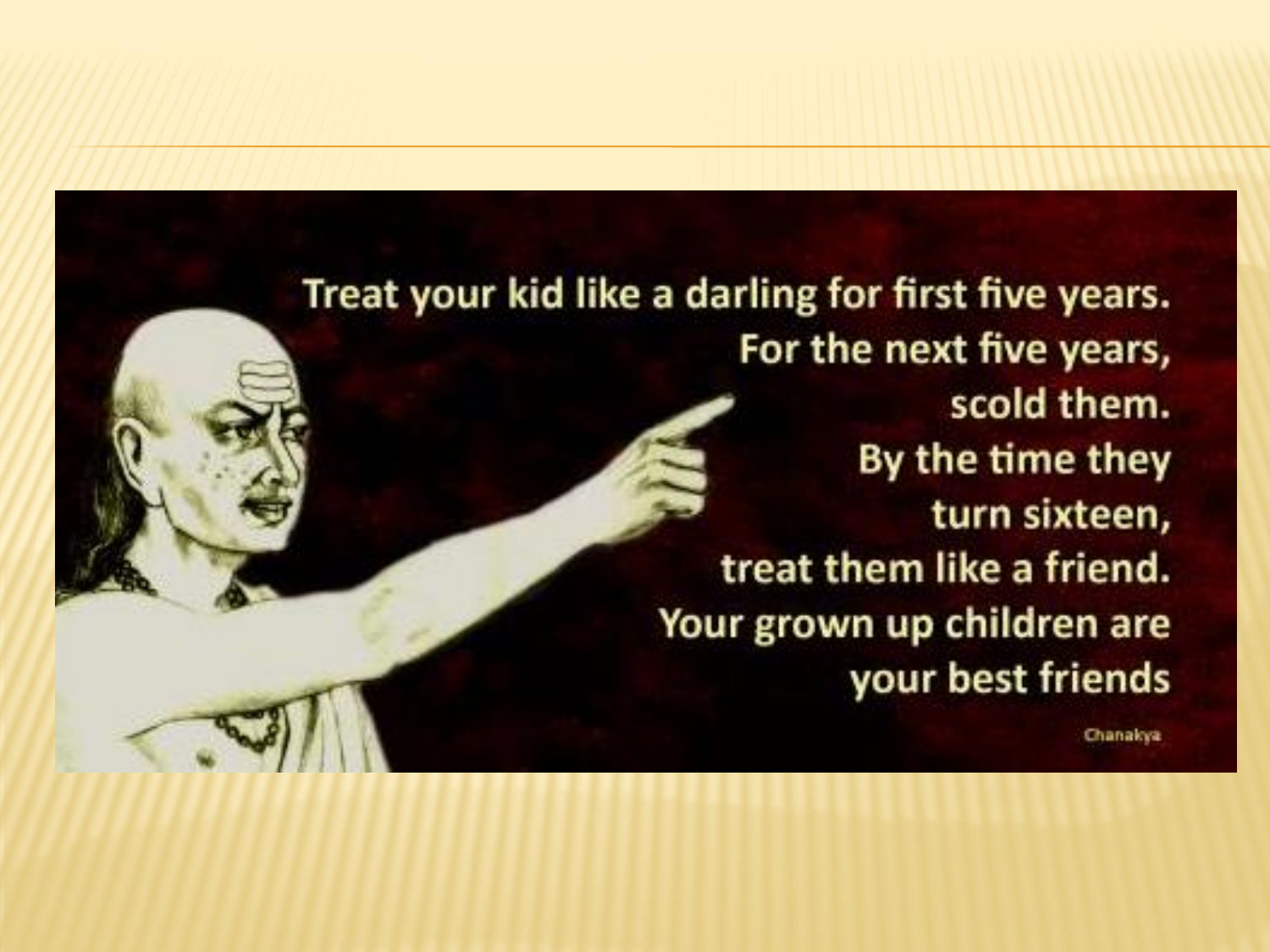Treat your kid like a darling for first five years. For the next five years, scold them. By the time they turn sixteen, treat them like a friend. Your grown up children are your best friends

Chanakya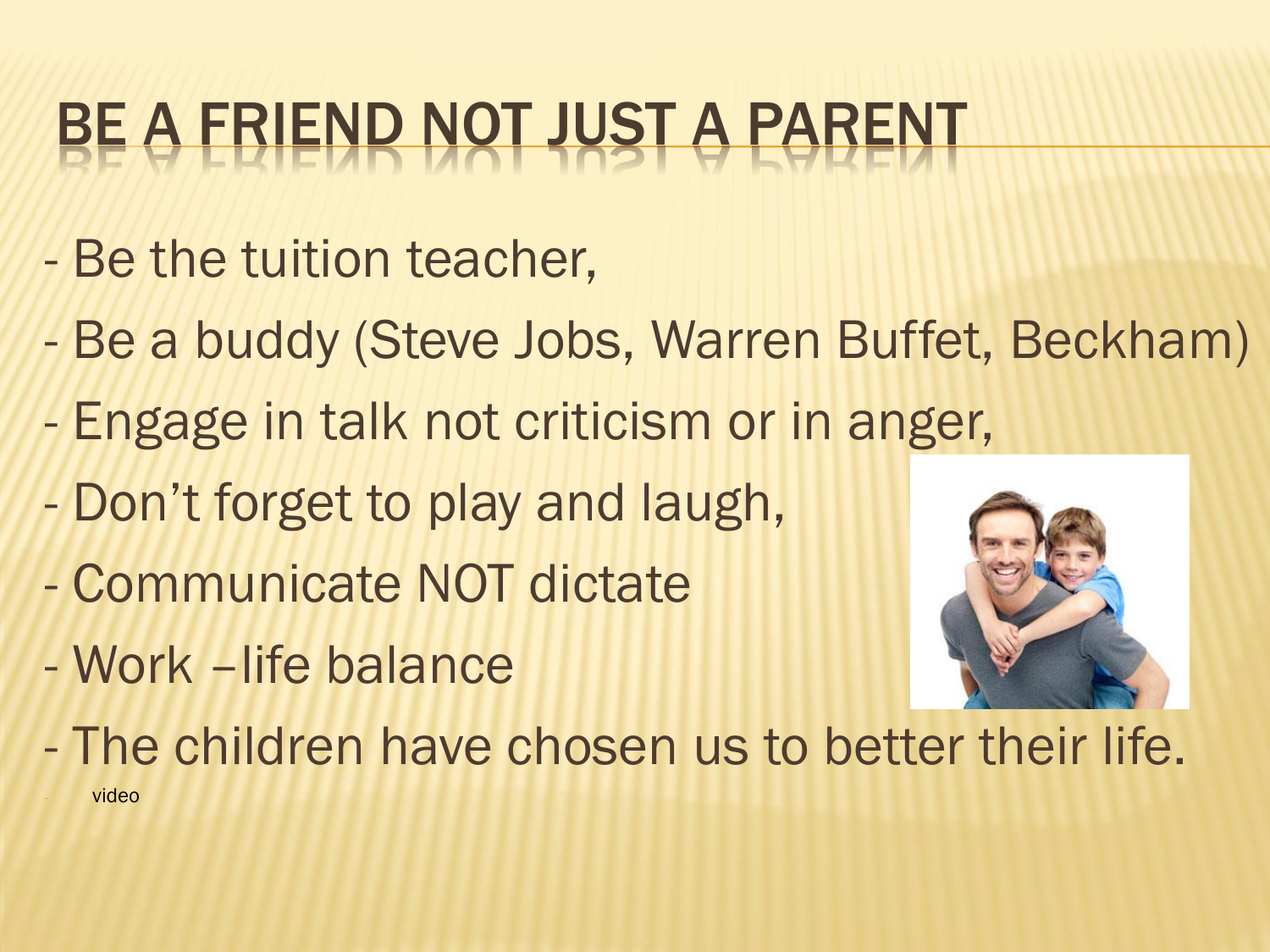#### BE A FRIEND NOT JUST A PARENT

- Be the tuition teacher,
- Be a buddy (Steve Jobs, Warren Buffet, Beckham)
- Engage in talk not criticism or in anger,
- Don't forget to play and laugh,
- Communicate NOT dictate
- Work –life balance



- The children have chosen us to better their life. video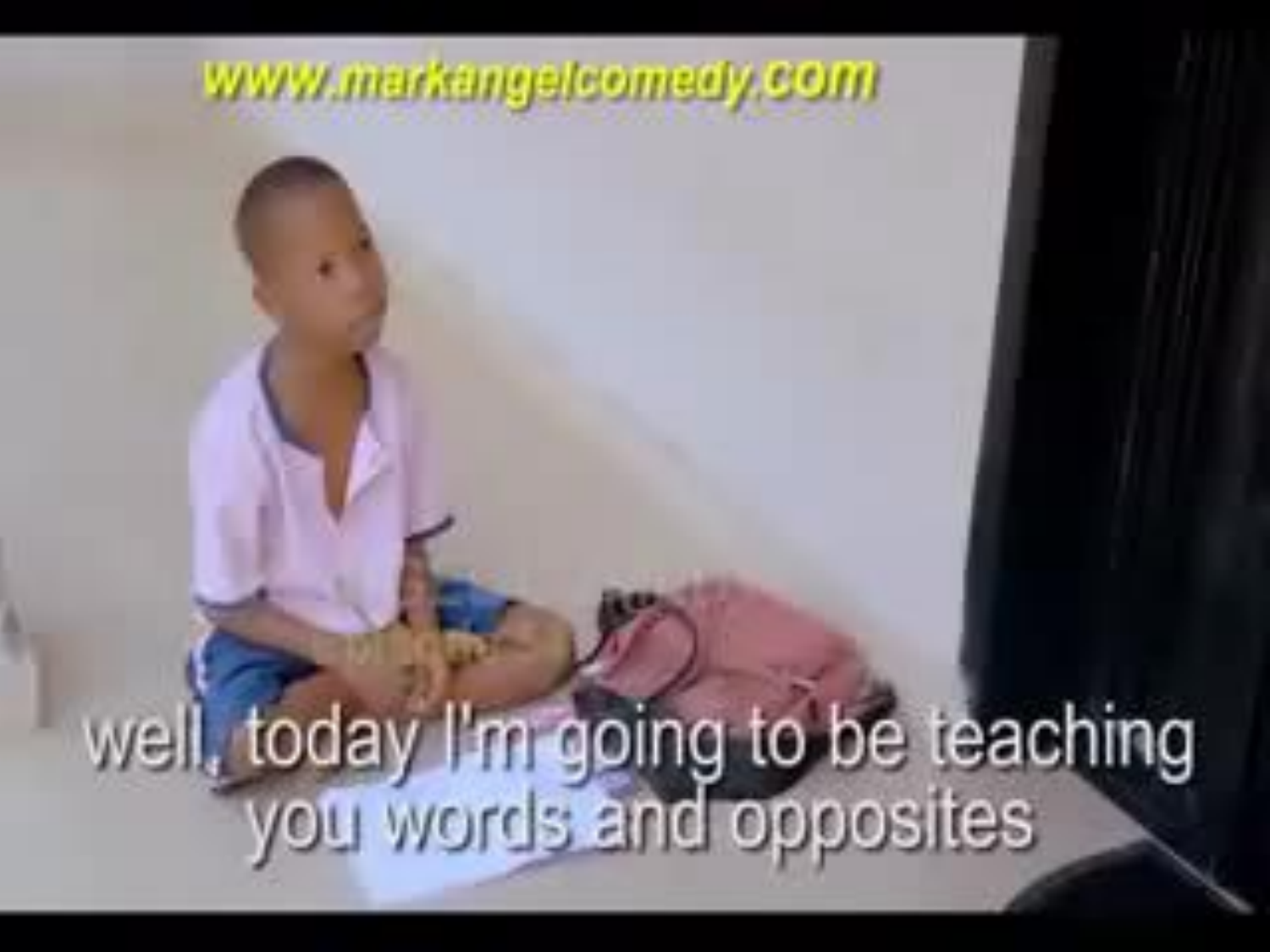#### www.markangelcomady.com

# well, today I'm going to be teaching<br>you words and opposites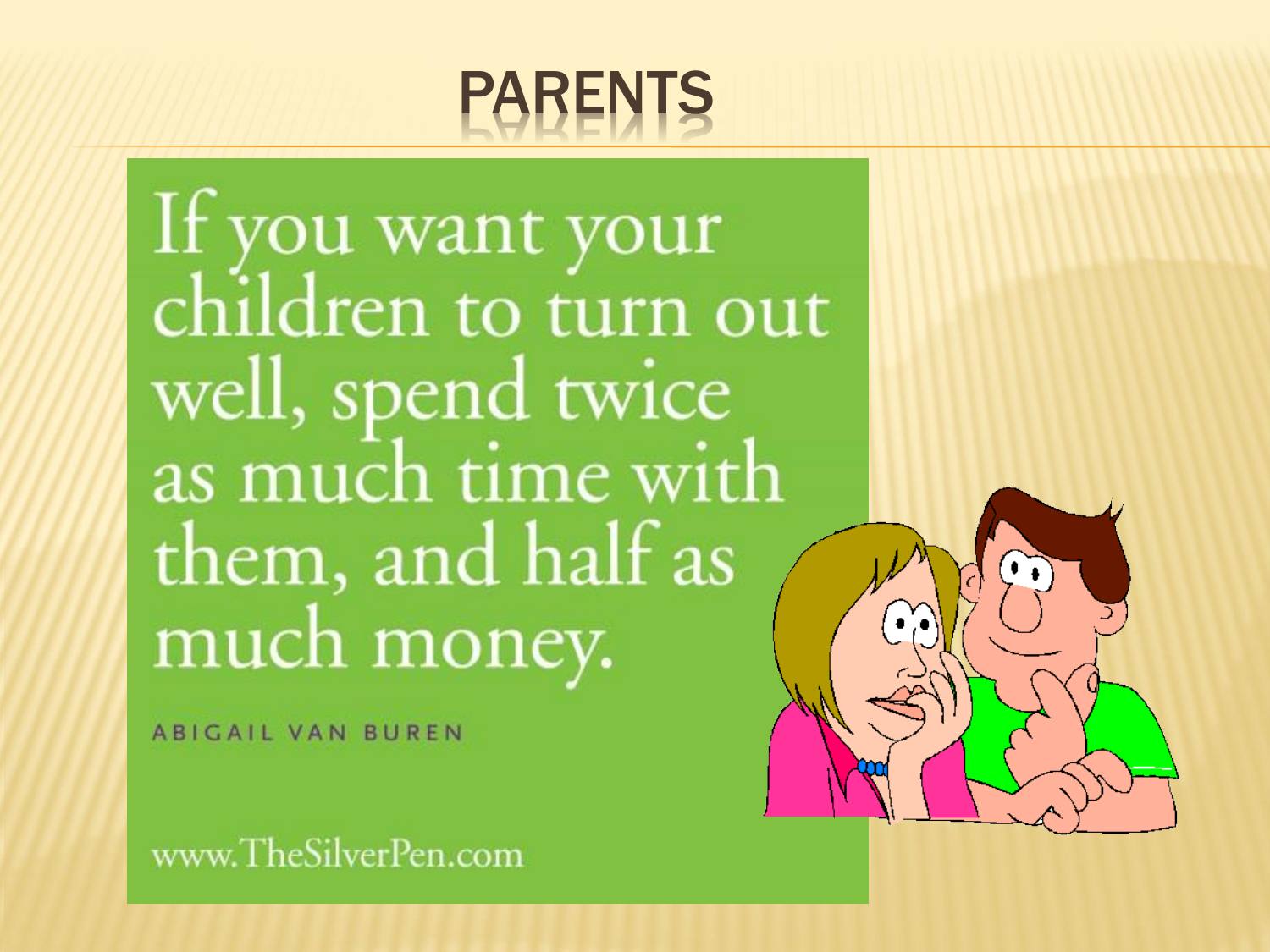#### PARENTS

If you want your children to turn out well, spend twice as much time with them, and half as much money.

**ABIGAIL VAN BUREN** 

www.TheSilverPen.com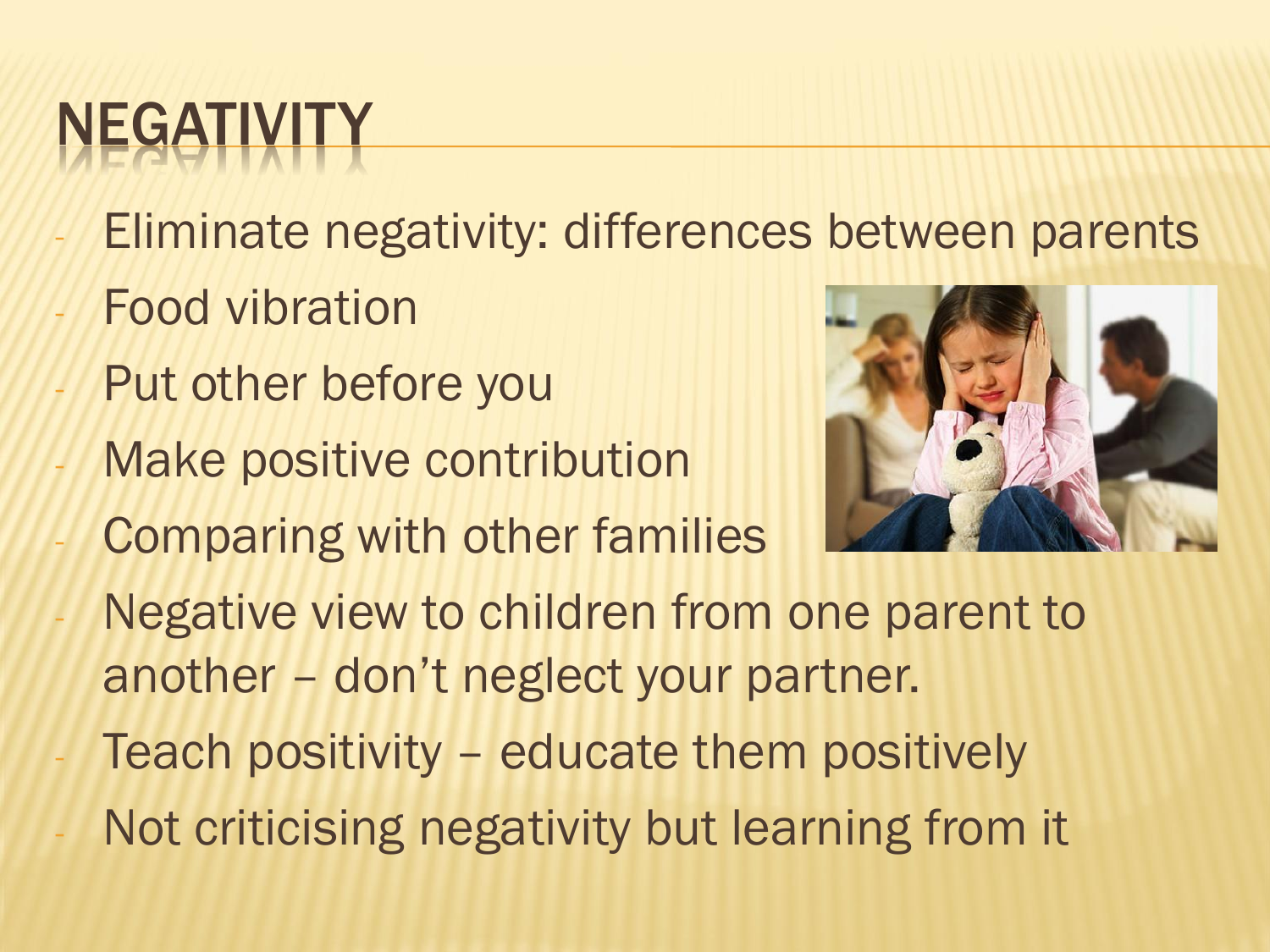## NEGATIV

- Eliminate negativity: differences between parents
- **Food vibration**
- Put other before you
- Make positive contribution
- Comparing with other families



- Negative view to children from one parent to another – don't neglect your partner.
- Teach positivity educate them positively
- Not criticising negativity but learning from it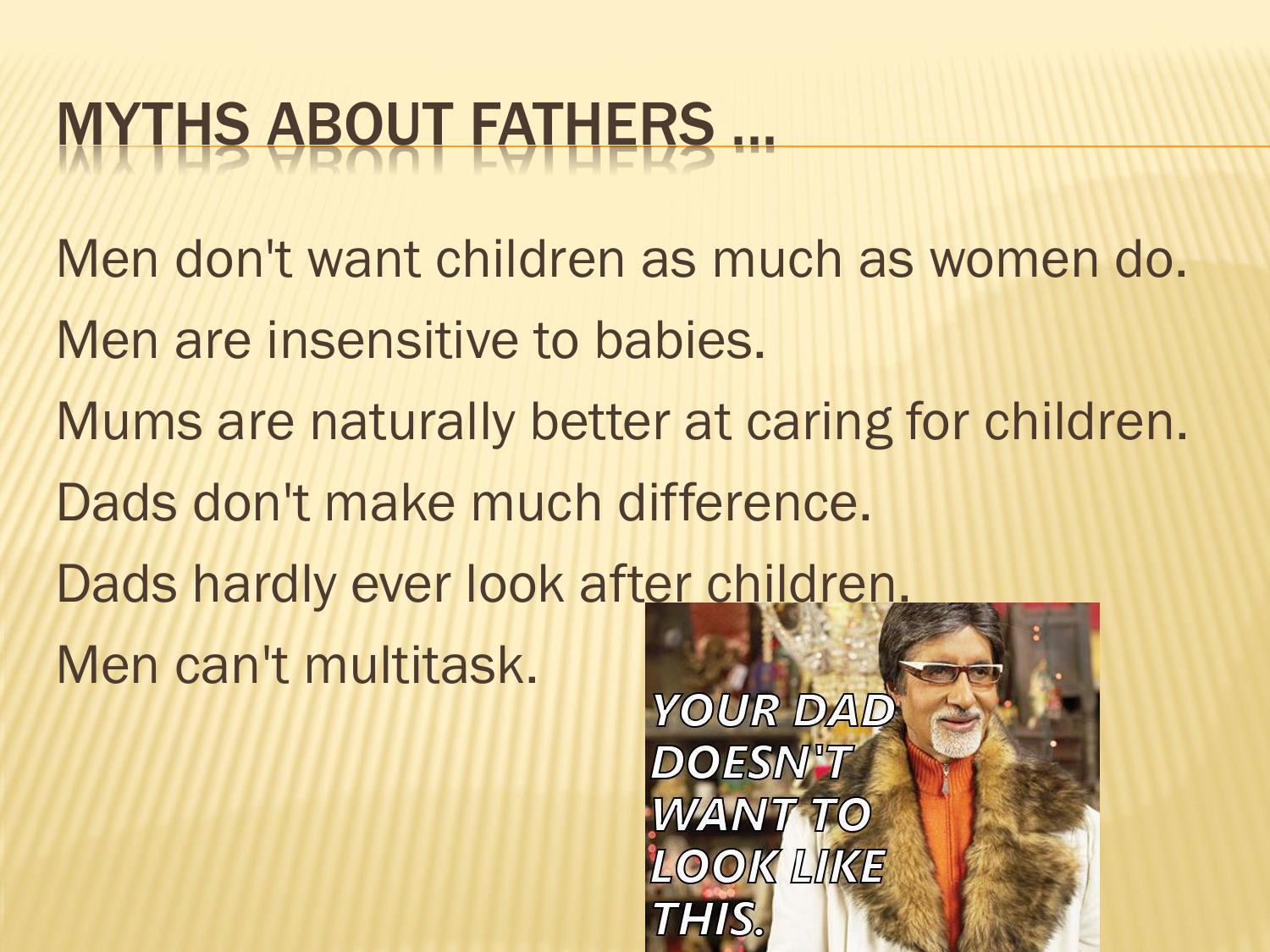#### MYTHS ABOUT FATHERS ...

Men don't want children as much as women do. Men are insensitive to babies. Mums are naturally better at caring for children. Dads don't make much difference. Dads hardly ever look after children. Men can't multitask.

**YOUR DAD DOESN'T WANT TO LOOK LIKE THIS.**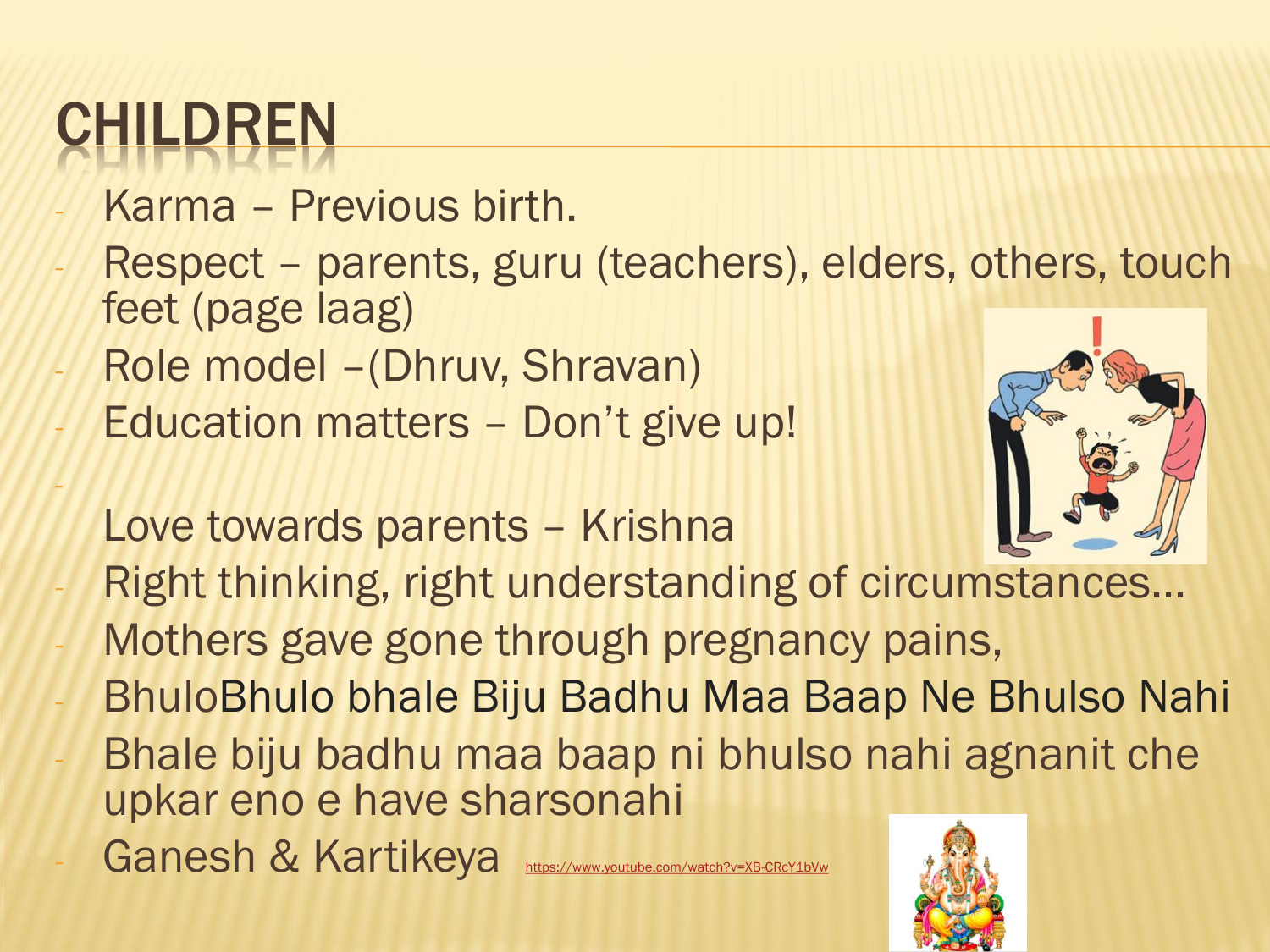## CHILDREN

-

- Karma Previous birth.
- Respect parents, guru (teachers), elders, others, touch feet (page laag)
- Role model (Dhruv, Shravan)
- Education matters Don't give up!
	- Love towards parents Krishna



- Right thinking, right understanding of circumstances...
- Mothers gave gone through pregnancy pains,
- BhuloBhulo bhale Biju Badhu Maa Baap Ne Bhulso Nahi
- Bhale biju badhu maa baap ni bhulso nahi agnanit che upkar eno e have sharsonahi
- Ganesh & Kartikeya

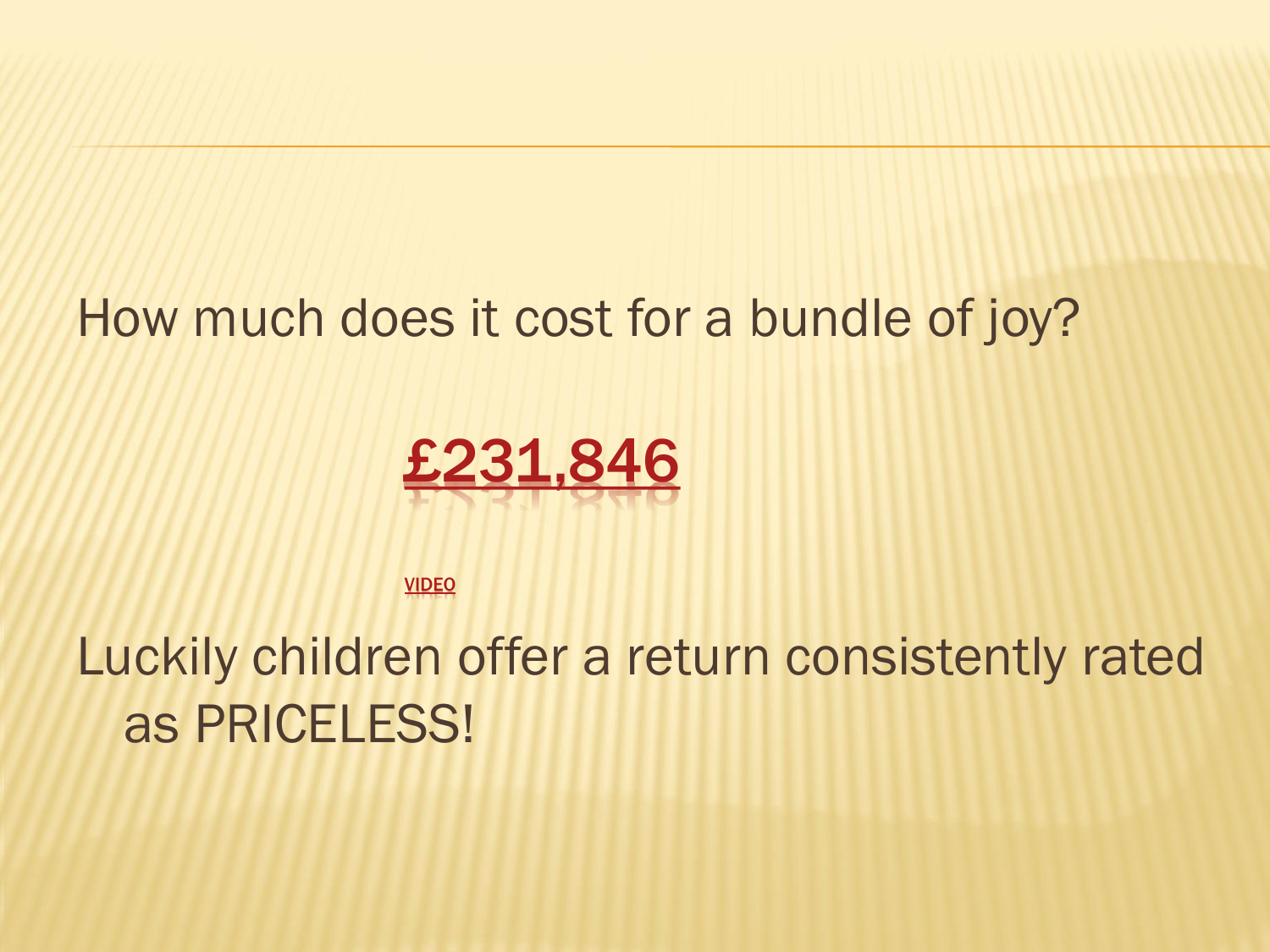#### How much does it cost for a bundle of joy?



VIDEO

Luckily children offer a return consistently rated as PRICELESS!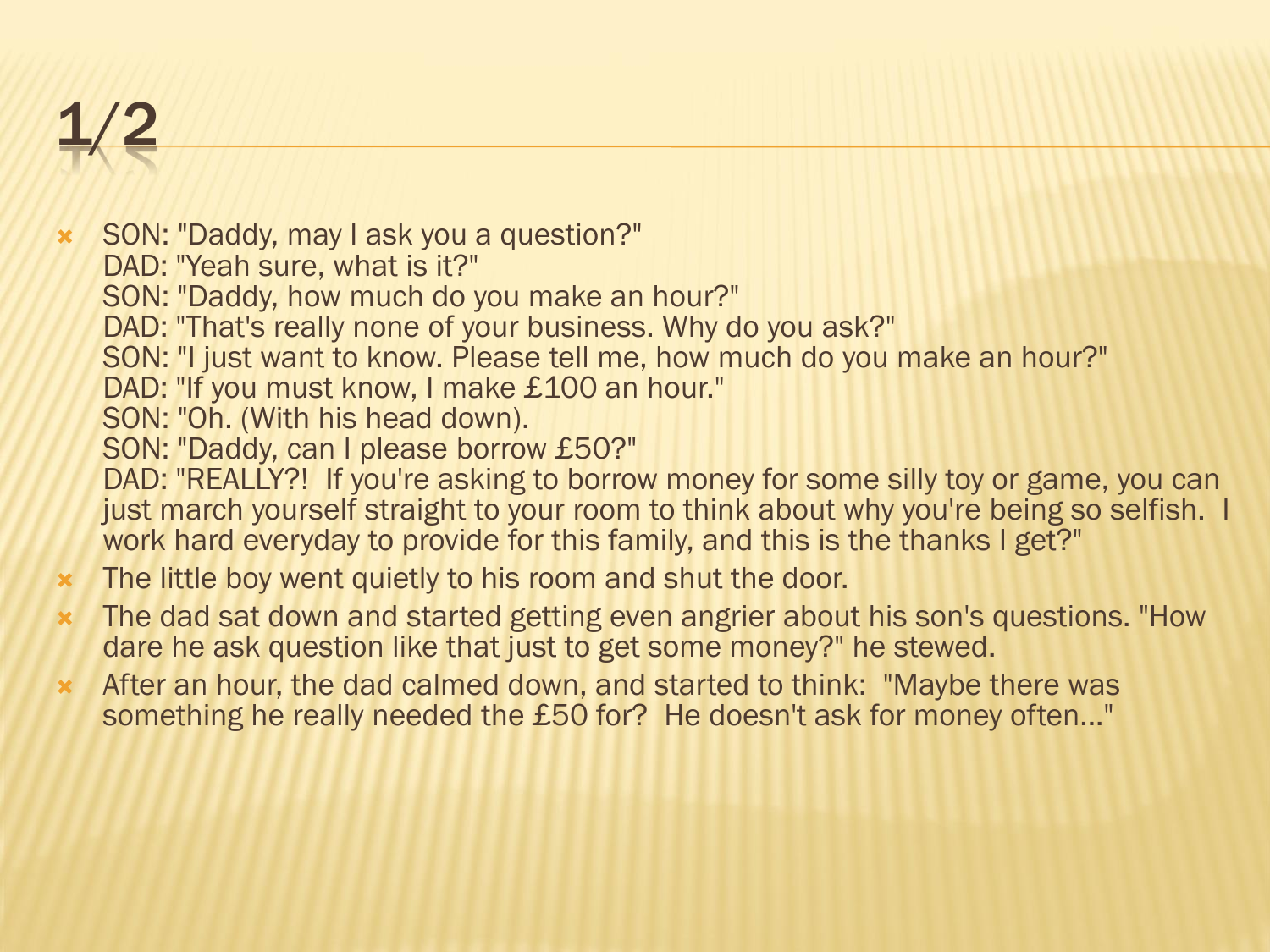#### 1/2

 SON: "Daddy, may I ask you a question?" DAD: "Yeah sure, what is it?" SON: "Daddy, how much do you make an hour?" DAD: "That's really none of your business. Why do you ask?" SON: "I just want to know. Please tell me, how much do you make an hour?" DAD: "If you must know, I make £100 an hour." SON: "Oh. (With his head down). SON: "Daddy, can I please borrow £50?" DAD: "REALLY?! If you're asking to borrow money for some silly toy or game, you can just march yourself straight to your room to think about why you're being so selfish. I work hard everyday to provide for this family, and this is the thanks I get?"

- **\*** The little boy went quietly to his room and shut the door.
- The dad sat down and started getting even angrier about his son's questions. "How dare he ask question like that just to get some money?" he stewed.
- After an hour, the dad calmed down, and started to think: "Maybe there was something he really needed the £50 for? He doesn't ask for money often..."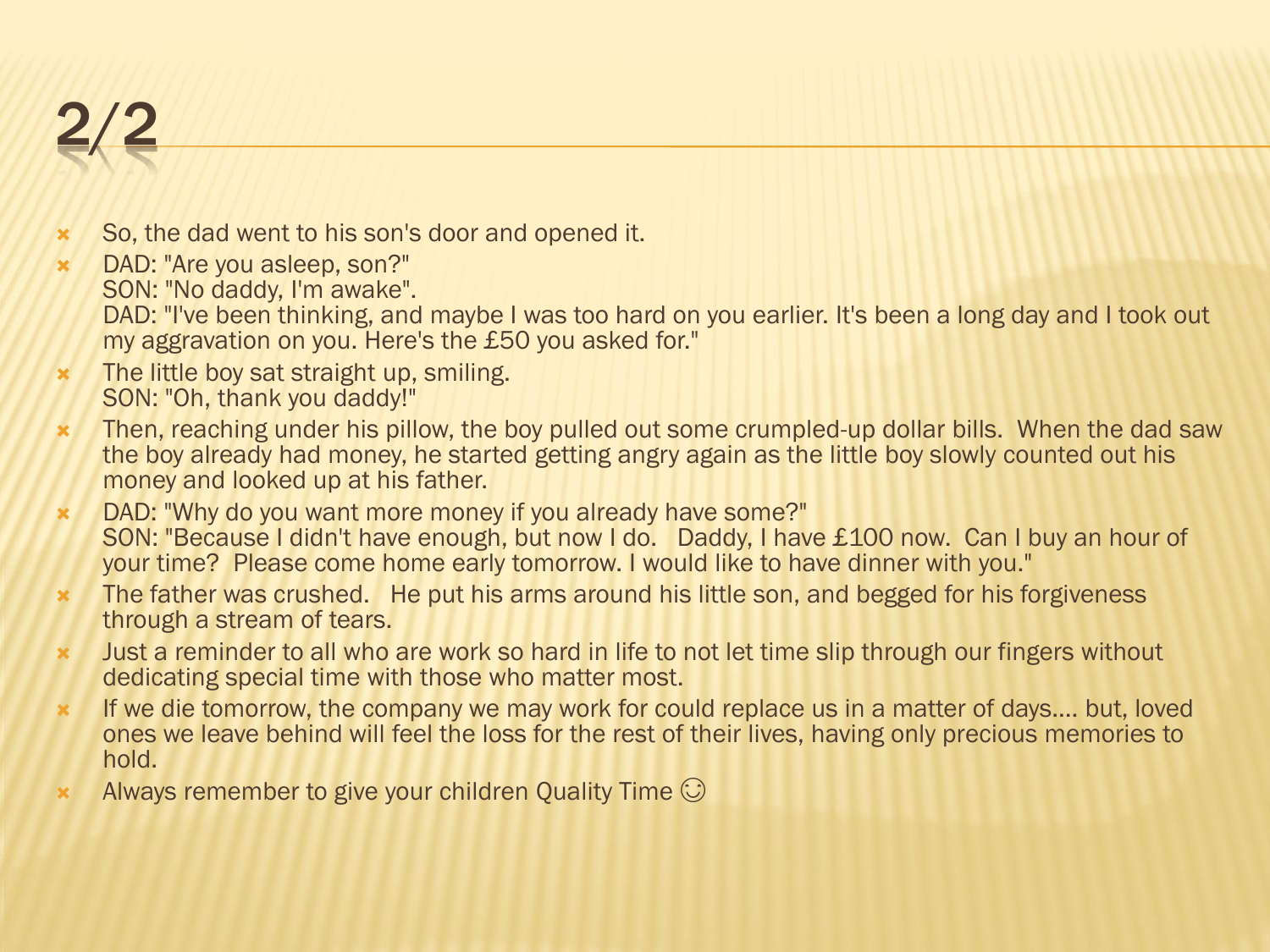#### 2/2

- **x** So, the dad went to his son's door and opened it.
- DAD: "Are you asleep, son?" SON: "No daddy, I'm awake". DAD: "I've been thinking, and maybe I was too hard on you earlier. It's been a long day and I took out my aggravation on you. Here's the £50 you asked for."
- **\*** The little boy sat straight up, smiling. SON: "Oh, thank you daddy!"
- \* Then, reaching under his pillow, the boy pulled out some crumpled-up dollar bills. When the dad saw the boy already had money, he started getting angry again as the little boy slowly counted out his money and looked up at his father.
- DAD: "Why do you want more money if you already have some?" SON: "Because I didn't have enough, but now I do. Daddy, I have £100 now. Can I buy an hour of your time? Please come home early tomorrow. I would like to have dinner with you."
- **\*** The father was crushed. He put his arms around his little son, and begged for his forgiveness through a stream of tears.
- \* Just a reminder to all who are work so hard in life to not let time slip through our fingers without dedicating special time with those who matter most.
- **\*** If we die tomorrow, the company we may work for could replace us in a matter of days.... but, loved ones we leave behind will feel the loss for the rest of their lives, having only precious memories to hold.
- $\star$  Always remember to give your children Quality Time  $\odot$